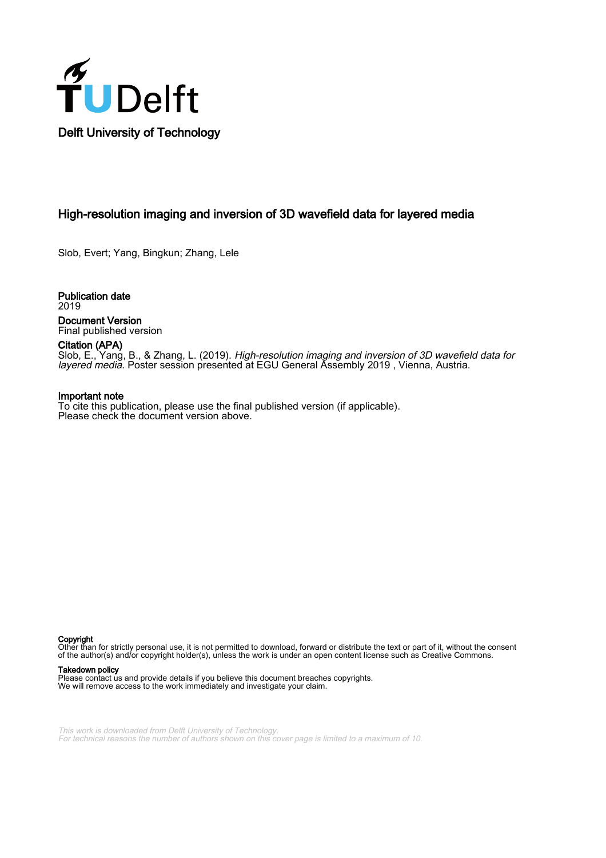

## High-resolution imaging and inversion of 3D wavefield data for layered media

Slob, Evert; Yang, Bingkun; Zhang, Lele

Publication date 2019 Document Version Final published version

Citation (APA) Slob, E., Yang, B., & Zhang, L. (2019). High-resolution imaging and inversion of 3D wavefield data for layered media. Poster session presented at EGU General Assembly 2019 , Vienna, Austria.

## Important note

To cite this publication, please use the final published version (if applicable). Please check the document version above.

Copyright

Other than for strictly personal use, it is not permitted to download, forward or distribute the text or part of it, without the consent of the author(s) and/or copyright holder(s), unless the work is under an open content license such as Creative Commons.

## Takedown policy

Please contact us and provide details if you believe this document breaches copyrights. We will remove access to the work immediately and investigate your claim.

This work is downloaded from Delft University of Technology. For technical reasons the number of authors shown on this cover page is limited to a maximum of 10.